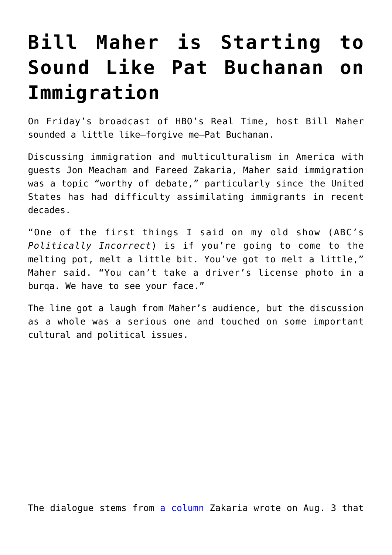## **[Bill Maher is Starting to](https://intellectualtakeout.org/2017/08/bill-maher-is-starting-to-sound-like-pat-buchanan-on-immigration/) [Sound Like Pat Buchanan on](https://intellectualtakeout.org/2017/08/bill-maher-is-starting-to-sound-like-pat-buchanan-on-immigration/) [Immigration](https://intellectualtakeout.org/2017/08/bill-maher-is-starting-to-sound-like-pat-buchanan-on-immigration/)**

On Friday's broadcast of HBO's Real Time, host Bill Maher sounded a little like—forgive me—Pat Buchanan.

Discussing immigration and multiculturalism in America with guests Jon Meacham and Fareed Zakaria, Maher said immigration was a topic "worthy of debate," particularly since the United States has had difficulty assimilating immigrants in recent decades.

"One of the first things I said on my old show (ABC's *Politically Incorrect*) is if you're going to come to the melting pot, melt a little bit. You've got to melt a little," Maher said. "You can't take a driver's license photo in a burqa. We have to see your face."

The line got a laugh from Maher's audience, but the discussion as a whole was a serious one and touched on some important cultural and political issues.

The dialogue stems from [a column](https://www.washingtonpost.com/opinions/the-democrats-should-rethink-immigration-absolutism/2017/08/03/17b65572-788b-11e7-8839-ec48ec4cae25_story.html?utm_term=.cfe9c9a2a4da) Zakaria wrote on Aug. 3 that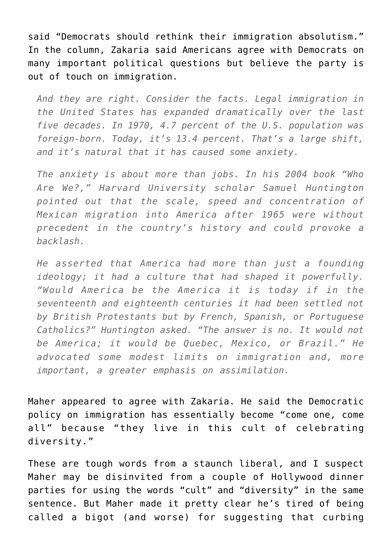said "Democrats should rethink their immigration absolutism." In the column, Zakaria said Americans agree with Democrats on many important political questions but believe the party is out of touch on immigration.

*And they are right. Consider the facts. Legal immigration in the United States has expanded dramatically over the last five decades. In 1970, 4.7 percent of the U.S. population was foreign-born. Today, it's 13.4 percent. That's a large shift, and it's natural that it has caused some anxiety.*

*The anxiety is about more than jobs. In his 2004 book "Who Are We?," Harvard University scholar Samuel Huntington pointed out that the scale, speed and concentration of Mexican migration into America after 1965 were without precedent in the country's history and could provoke a backlash.*

*He asserted that America had more than just a founding ideology; it had a culture that had shaped it powerfully. "Would America be the America it is today if in the seventeenth and eighteenth centuries it had been settled not by British Protestants but by French, Spanish, or Portuguese Catholics?" Huntington asked. "The answer is no. It would not be America; it would be Quebec, Mexico, or Brazil." He advocated some modest limits on immigration and, more important, a greater emphasis on assimilation.*

Maher appeared to agree with Zakaria. He said the Democratic policy on immigration has essentially become "come one, come all" because "they live in this cult of celebrating diversity."

These are tough words from a staunch liberal, and I suspect Maher may be disinvited from a couple of Hollywood dinner parties for using the words "cult" and "diversity" in the same sentence. But Maher made it pretty clear he's tired of being called a bigot (and worse) for suggesting that curbing